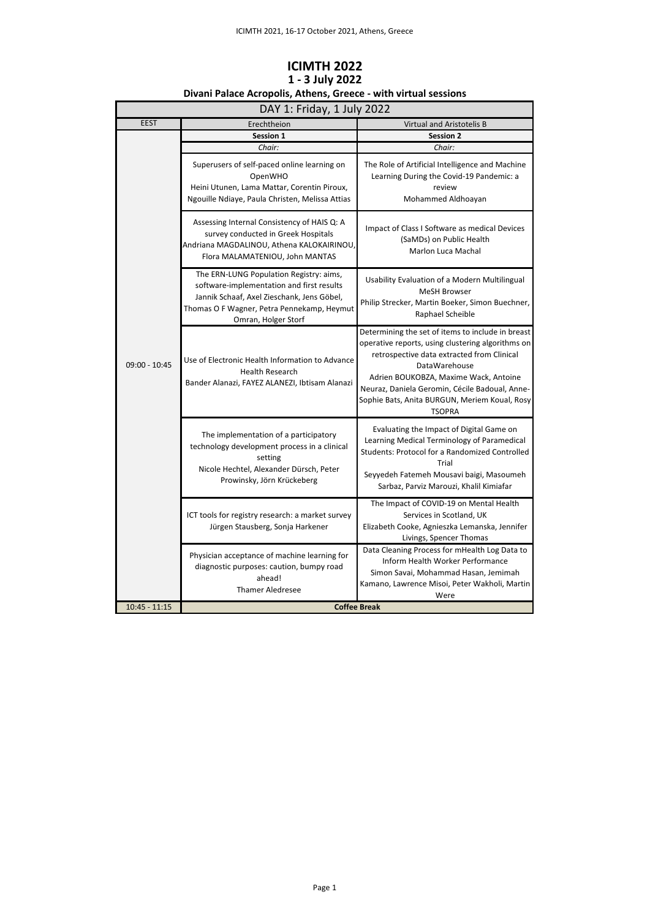| DAY 1: Friday, 1 July 2022 |                                                                                                                                                                                                         |                                                                                                                                                                                                                                                                                                                                    |
|----------------------------|---------------------------------------------------------------------------------------------------------------------------------------------------------------------------------------------------------|------------------------------------------------------------------------------------------------------------------------------------------------------------------------------------------------------------------------------------------------------------------------------------------------------------------------------------|
| <b>EEST</b>                | Erechtheion                                                                                                                                                                                             | Virtual and Aristotelis B                                                                                                                                                                                                                                                                                                          |
|                            | Session 1                                                                                                                                                                                               | <b>Session 2</b>                                                                                                                                                                                                                                                                                                                   |
|                            | Chair:                                                                                                                                                                                                  | Chair:                                                                                                                                                                                                                                                                                                                             |
| $09:00 - 10:45$            | Superusers of self-paced online learning on<br>OpenWHO<br>Heini Utunen, Lama Mattar, Corentin Piroux,<br>Ngouille Ndiaye, Paula Christen, Melissa Attias                                                | The Role of Artificial Intelligence and Machine<br>Learning During the Covid-19 Pandemic: a<br>review<br>Mohammed Aldhoayan                                                                                                                                                                                                        |
|                            | Assessing Internal Consistency of HAIS Q: A<br>survey conducted in Greek Hospitals<br>Andriana MAGDALINOU, Athena KALOKAIRINOU,<br>Flora MALAMATENIOU, John MANTAS                                      | Impact of Class I Software as medical Devices<br>(SaMDs) on Public Health<br><b>Marlon Luca Machal</b>                                                                                                                                                                                                                             |
|                            | The ERN-LUNG Population Registry: aims,<br>software-implementation and first results<br>Jannik Schaaf, Axel Zieschank, Jens Göbel,<br>Thomas O F Wagner, Petra Pennekamp, Heymut<br>Omran, Holger Storf | Usability Evaluation of a Modern Multilingual<br><b>MeSH Browser</b><br>Philip Strecker, Martin Boeker, Simon Buechner,<br>Raphael Scheible                                                                                                                                                                                        |
|                            | Use of Electronic Health Information to Advance<br>Health Research<br>Bander Alanazi, FAYEZ ALANEZI, Ibtisam Alanazi                                                                                    | Determining the set of items to include in breast<br>operative reports, using clustering algorithms on<br>retrospective data extracted from Clinical<br>DataWarehouse<br>Adrien BOUKOBZA, Maxime Wack, Antoine<br>Neuraz, Daniela Geromin, Cécile Badoual, Anne-<br>Sophie Bats, Anita BURGUN, Meriem Koual, Rosy<br><b>TSOPRA</b> |
|                            | The implementation of a participatory<br>technology development process in a clinical<br>setting<br>Nicole Hechtel, Alexander Dürsch, Peter<br>Prowinsky, Jörn Krückeberg                               | Evaluating the Impact of Digital Game on<br>Learning Medical Terminology of Paramedical<br>Students: Protocol for a Randomized Controlled<br>Trial<br>Seyyedeh Fatemeh Mousavi baigi, Masoumeh<br>Sarbaz, Parviz Marouzi, Khalil Kimiafar                                                                                          |
|                            | ICT tools for registry research: a market survey<br>Jürgen Stausberg, Sonja Harkener                                                                                                                    | The Impact of COVID-19 on Mental Health<br>Services in Scotland, UK<br>Elizabeth Cooke, Agnieszka Lemanska, Jennifer<br>Livings, Spencer Thomas                                                                                                                                                                                    |
|                            | Physician acceptance of machine learning for<br>diagnostic purposes: caution, bumpy road<br>ahead!<br><b>Thamer Aledresee</b>                                                                           | Data Cleaning Process for mHealth Log Data to<br><b>Inform Health Worker Performance</b><br>Simon Savai, Mohammad Hasan, Jemimah<br>Kamano, Lawrence Misoi, Peter Wakholi, Martin<br>Were                                                                                                                                          |
| $10:45 - 11:15$            |                                                                                                                                                                                                         | <b>Coffee Break</b>                                                                                                                                                                                                                                                                                                                |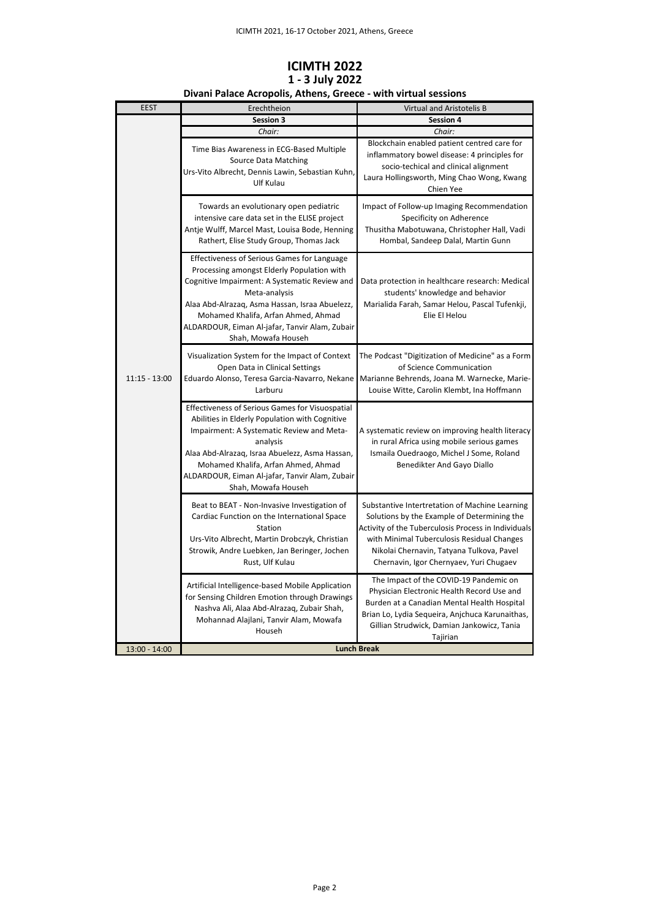## **ICIMTH 2022 1 - 3 July 2022**

| <b>EEST</b>     | Erechtheion                                                                                                                                                                                                                                                                                                                          | Virtual and Aristotelis B                                                                                                                                                                                                                                                                  |
|-----------------|--------------------------------------------------------------------------------------------------------------------------------------------------------------------------------------------------------------------------------------------------------------------------------------------------------------------------------------|--------------------------------------------------------------------------------------------------------------------------------------------------------------------------------------------------------------------------------------------------------------------------------------------|
|                 | Session 3                                                                                                                                                                                                                                                                                                                            | Session 4                                                                                                                                                                                                                                                                                  |
|                 | Chair:                                                                                                                                                                                                                                                                                                                               | Chair:                                                                                                                                                                                                                                                                                     |
| $11:15 - 13:00$ | Time Bias Awareness in ECG-Based Multiple<br><b>Source Data Matching</b><br>Urs-Vito Albrecht, Dennis Lawin, Sebastian Kuhn,<br>Ulf Kulau                                                                                                                                                                                            | Blockchain enabled patient centred care for<br>inflammatory bowel disease: 4 principles for<br>socio-techical and clinical alignment<br>Laura Hollingsworth, Ming Chao Wong, Kwang<br>Chien Yee                                                                                            |
|                 | Towards an evolutionary open pediatric<br>intensive care data set in the ELISE project<br>Antje Wulff, Marcel Mast, Louisa Bode, Henning<br>Rathert, Elise Study Group, Thomas Jack                                                                                                                                                  | Impact of Follow-up Imaging Recommendation<br>Specificity on Adherence<br>Thusitha Mabotuwana, Christopher Hall, Vadi<br>Hombal, Sandeep Dalal, Martin Gunn                                                                                                                                |
|                 | <b>Effectiveness of Serious Games for Language</b><br>Processing amongst Elderly Population with<br>Cognitive Impairment: A Systematic Review and<br>Meta-analysis<br>Alaa Abd-Alrazaq, Asma Hassan, Israa Abuelezz,<br>Mohamed Khalifa, Arfan Ahmed, Ahmad<br>ALDARDOUR, Eiman Al-jafar, Tanvir Alam, Zubair<br>Shah, Mowafa Househ | Data protection in healthcare research: Medical<br>students' knowledge and behavior<br>Marialida Farah, Samar Helou, Pascal Tufenkji,<br>Elie El Helou                                                                                                                                     |
|                 | Visualization System for the Impact of Context<br>Open Data in Clinical Settings<br>Eduardo Alonso, Teresa Garcia-Navarro, Nekane<br>Larburu                                                                                                                                                                                         | The Podcast "Digitization of Medicine" as a Form<br>of Science Communication<br>Marianne Behrends, Joana M. Warnecke, Marie-<br>Louise Witte, Carolin Klembt, Ina Hoffmann                                                                                                                 |
|                 | Effectiveness of Serious Games for Visuospatial<br>Abilities in Elderly Population with Cognitive<br>Impairment: A Systematic Review and Meta-<br>analysis<br>Alaa Abd-Alrazaq, Israa Abuelezz, Asma Hassan,<br>Mohamed Khalifa, Arfan Ahmed, Ahmad<br>ALDARDOUR, Eiman Al-jafar, Tanvir Alam, Zubair<br>Shah, Mowafa Househ         | A systematic review on improving health literacy<br>in rural Africa using mobile serious games<br>Ismaila Ouedraogo, Michel J Some, Roland<br>Benedikter And Gayo Diallo                                                                                                                   |
|                 | Beat to BEAT - Non-Invasive Investigation of<br>Cardiac Function on the International Space<br>Station<br>Urs-Vito Albrecht, Martin Drobczyk, Christian<br>Strowik, Andre Luebken, Jan Beringer, Jochen<br>Rust, Ulf Kulau                                                                                                           | Substantive Intertretation of Machine Learning<br>Solutions by the Example of Determining the<br>Activity of the Tuberculosis Process in Individuals<br>with Minimal Tuberculosis Residual Changes<br>Nikolai Chernavin, Tatyana Tulkova, Pavel<br>Chernavin, Igor Chernyaev, Yuri Chugaev |
|                 | Artificial Intelligence-based Mobile Application<br>for Sensing Children Emotion through Drawings<br>Nashva Ali, Alaa Abd-Alrazaq, Zubair Shah,<br>Mohannad Alajlani, Tanvir Alam, Mowafa<br>Househ                                                                                                                                  | The Impact of the COVID-19 Pandemic on<br>Physician Electronic Health Record Use and<br>Burden at a Canadian Mental Health Hospital<br>Brian Lo, Lydia Sequeira, Anjchuca Karunaithas,<br>Gillian Strudwick, Damian Jankowicz, Tania<br>Tajirian                                           |
| $13:00 - 14:00$ |                                                                                                                                                                                                                                                                                                                                      | <b>Lunch Break</b>                                                                                                                                                                                                                                                                         |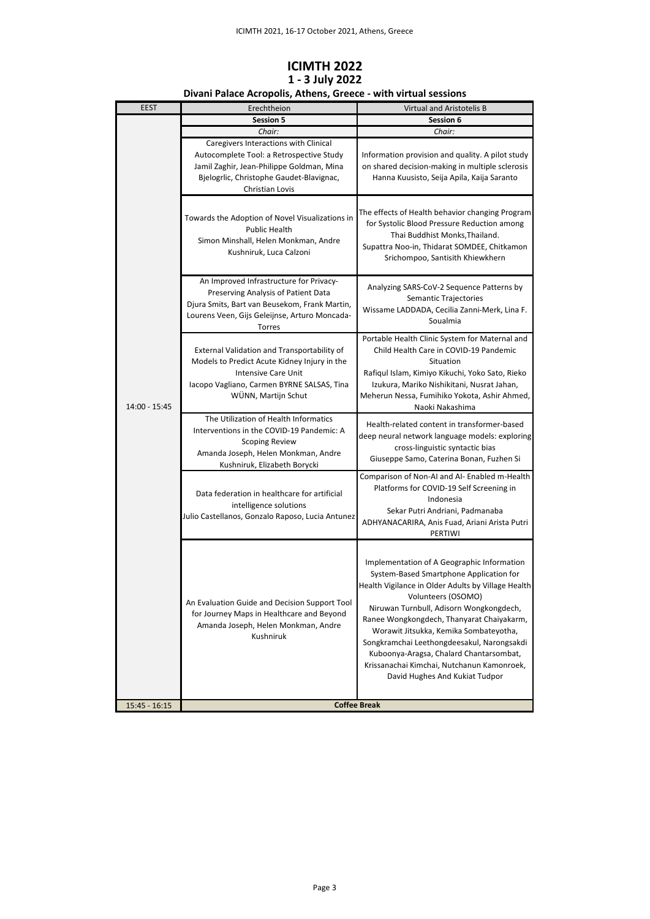| <b>EEST</b>     | Erechtheion                                                                                                                                                                                           | <b>Virtual and Aristotelis B</b>                                                                                                                                                                                                                                                                                                                                                                                                                                             |
|-----------------|-------------------------------------------------------------------------------------------------------------------------------------------------------------------------------------------------------|------------------------------------------------------------------------------------------------------------------------------------------------------------------------------------------------------------------------------------------------------------------------------------------------------------------------------------------------------------------------------------------------------------------------------------------------------------------------------|
|                 | <b>Session 5</b>                                                                                                                                                                                      | Session 6                                                                                                                                                                                                                                                                                                                                                                                                                                                                    |
| 14:00 - 15:45   | Chair:<br>Caregivers Interactions with Clinical<br>Autocomplete Tool: a Retrospective Study<br>Jamil Zaghir, Jean-Philippe Goldman, Mina<br>Bjelogrlic, Christophe Gaudet-Blavignac,                  | Chair:<br>Information provision and quality. A pilot study<br>on shared decision-making in multiple sclerosis<br>Hanna Kuusisto, Seija Apila, Kaija Saranto                                                                                                                                                                                                                                                                                                                  |
|                 | Christian Lovis<br>Towards the Adoption of Novel Visualizations in<br><b>Public Health</b><br>Simon Minshall, Helen Monkman, Andre<br>Kushniruk, Luca Calzoni                                         | The effects of Health behavior changing Program<br>for Systolic Blood Pressure Reduction among<br>Thai Buddhist Monks, Thailand.<br>Supattra Noo-in, Thidarat SOMDEE, Chitkamon<br>Srichompoo, Santisith Khiewkhern                                                                                                                                                                                                                                                          |
|                 | An Improved Infrastructure for Privacy-<br>Preserving Analysis of Patient Data<br>Djura Smits, Bart van Beusekom, Frank Martin,<br>Lourens Veen, Gijs Geleijnse, Arturo Moncada-<br><b>Torres</b>     | Analyzing SARS-CoV-2 Sequence Patterns by<br>Semantic Trajectories<br>Wissame LADDADA, Cecilia Zanni-Merk, Lina F.<br>Soualmia                                                                                                                                                                                                                                                                                                                                               |
|                 | <b>External Validation and Transportability of</b><br>Models to Predict Acute Kidney Injury in the<br><b>Intensive Care Unit</b><br>Iacopo Vagliano, Carmen BYRNE SALSAS, Tina<br>WÜNN, Martijn Schut | Portable Health Clinic System for Maternal and<br>Child Health Care in COVID-19 Pandemic<br>Situation<br>Rafiqul Islam, Kimiyo Kikuchi, Yoko Sato, Rieko<br>Izukura, Mariko Nishikitani, Nusrat Jahan,<br>Meherun Nessa, Fumihiko Yokota, Ashir Ahmed,<br>Naoki Nakashima                                                                                                                                                                                                    |
|                 | The Utilization of Health Informatics<br>Interventions in the COVID-19 Pandemic: A<br><b>Scoping Review</b><br>Amanda Joseph, Helen Monkman, Andre<br>Kushniruk, Elizabeth Borycki                    | Health-related content in transformer-based<br>deep neural network language models: exploring<br>cross-linguistic syntactic bias<br>Giuseppe Samo, Caterina Bonan, Fuzhen Si                                                                                                                                                                                                                                                                                                 |
|                 | Data federation in healthcare for artificial<br>intelligence solutions<br>Julio Castellanos, Gonzalo Raposo, Lucia Antunez                                                                            | Comparison of Non-AI and AI- Enabled m-Health<br>Platforms for COVID-19 Self Screening in<br>Indonesia<br>Sekar Putri Andriani, Padmanaba<br>ADHYANACARIRA, Anis Fuad, Ariani Arista Putri<br>PERTIWI                                                                                                                                                                                                                                                                        |
|                 | An Evaluation Guide and Decision Support Tool<br>for Journey Maps in Healthcare and Beyond<br>Amanda Joseph, Helen Monkman, Andre<br>Kushniruk                                                        | Implementation of A Geographic Information<br>System-Based Smartphone Application for<br>Health Vigilance in Older Adults by Village Health<br>Volunteers (OSOMO)<br>Niruwan Turnbull, Adisorn Wongkongdech,<br>Ranee Wongkongdech, Thanyarat Chaiyakarm,<br>Worawit Jitsukka, Kemika Sombateyotha,<br>Songkramchai Leethongdeesakul, Narongsakdi<br>Kuboonya-Aragsa, Chalard Chantarsombat,<br>Krissanachai Kimchai, Nutchanun Kamonroek,<br>David Hughes And Kukiat Tudpor |
| $15:45 - 16:15$ | <b>Coffee Break</b>                                                                                                                                                                                   |                                                                                                                                                                                                                                                                                                                                                                                                                                                                              |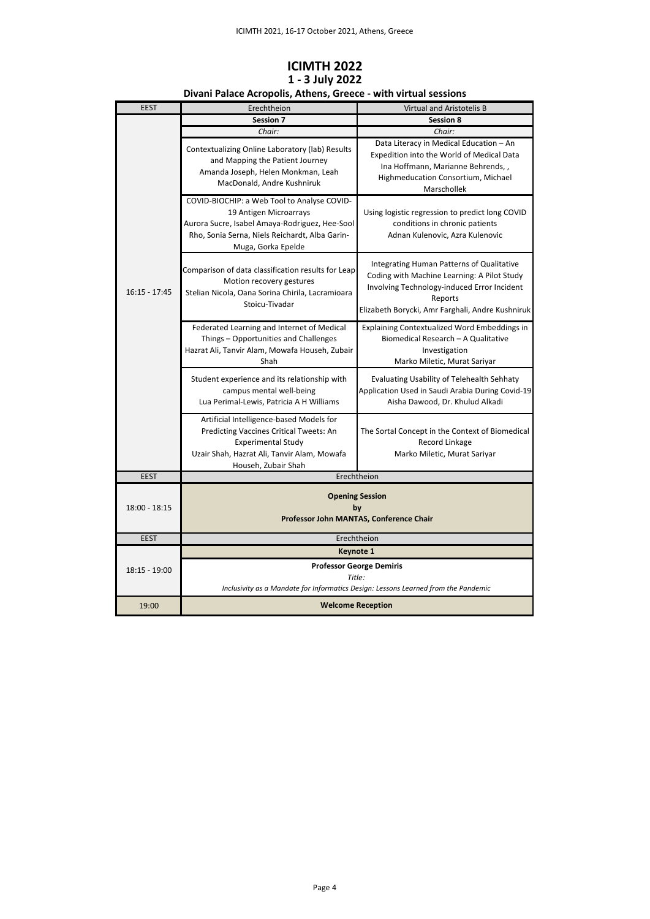| <b>EEST</b>     | Erechtheion                                                                                                                                                                                     | Virtual and Aristotelis B                                                                                                                                                                              |
|-----------------|-------------------------------------------------------------------------------------------------------------------------------------------------------------------------------------------------|--------------------------------------------------------------------------------------------------------------------------------------------------------------------------------------------------------|
|                 | Session 7                                                                                                                                                                                       | Session 8                                                                                                                                                                                              |
|                 | Chair:                                                                                                                                                                                          | Chair:                                                                                                                                                                                                 |
| $16:15 - 17:45$ | Contextualizing Online Laboratory (lab) Results<br>and Mapping the Patient Journey<br>Amanda Joseph, Helen Monkman, Leah<br>MacDonald, Andre Kushniruk                                          | Data Literacy in Medical Education - An<br>Expedition into the World of Medical Data<br>Ina Hoffmann, Marianne Behrends,,<br>Highmeducation Consortium, Michael<br>Marschollek                         |
|                 | COVID-BIOCHIP: a Web Tool to Analyse COVID-<br>19 Antigen Microarrays<br>Aurora Sucre, Isabel Amaya-Rodriguez, Hee-Sool<br>Rho, Sonia Serna, Niels Reichardt, Alba Garin-<br>Muga, Gorka Epelde | Using logistic regression to predict long COVID<br>conditions in chronic patients<br>Adnan Kulenovic, Azra Kulenovic                                                                                   |
|                 | Comparison of data classification results for Leap<br>Motion recovery gestures<br>Stelian Nicola, Oana Sorina Chirila, Lacramioara<br>Stoicu-Tivadar                                            | Integrating Human Patterns of Qualitative<br>Coding with Machine Learning: A Pilot Study<br>Involving Technology-induced Error Incident<br>Reports<br>Elizabeth Borycki, Amr Farghali, Andre Kushniruk |
|                 | Federated Learning and Internet of Medical<br>Things - Opportunities and Challenges<br>Hazrat Ali, Tanvir Alam, Mowafa Househ, Zubair<br>Shah                                                   | Explaining Contextualized Word Embeddings in<br>Biomedical Research - A Qualitative<br>Investigation<br>Marko Miletic, Murat Sariyar                                                                   |
|                 | Student experience and its relationship with<br>campus mental well-being<br>Lua Perimal-Lewis, Patricia A H Williams                                                                            | <b>Evaluating Usability of Telehealth Sehhaty</b><br>Application Used in Saudi Arabia During Covid-19<br>Aisha Dawood, Dr. Khulud Alkadi                                                               |
|                 | Artificial Intelligence-based Models for<br>Predicting Vaccines Critical Tweets: An<br><b>Experimental Study</b><br>Uzair Shah, Hazrat Ali, Tanvir Alam, Mowafa<br>Househ, Zubair Shah          | The Sortal Concept in the Context of Biomedical<br>Record Linkage<br>Marko Miletic, Murat Sariyar                                                                                                      |
| <b>EEST</b>     |                                                                                                                                                                                                 | Erechtheion                                                                                                                                                                                            |
| $18:00 - 18:15$ | <b>Opening Session</b><br>bv<br>Professor John MANTAS, Conference Chair                                                                                                                         |                                                                                                                                                                                                        |
| <b>EEST</b>     |                                                                                                                                                                                                 | Erechtheion                                                                                                                                                                                            |
|                 | <b>Keynote 1</b>                                                                                                                                                                                |                                                                                                                                                                                                        |
| $18:15 - 19:00$ | <b>Professor George Demiris</b><br>Title:<br>Inclusivity as a Mandate for Informatics Design: Lessons Learned from the Pandemic                                                                 |                                                                                                                                                                                                        |
| 19:00           | <b>Welcome Reception</b>                                                                                                                                                                        |                                                                                                                                                                                                        |
|                 |                                                                                                                                                                                                 |                                                                                                                                                                                                        |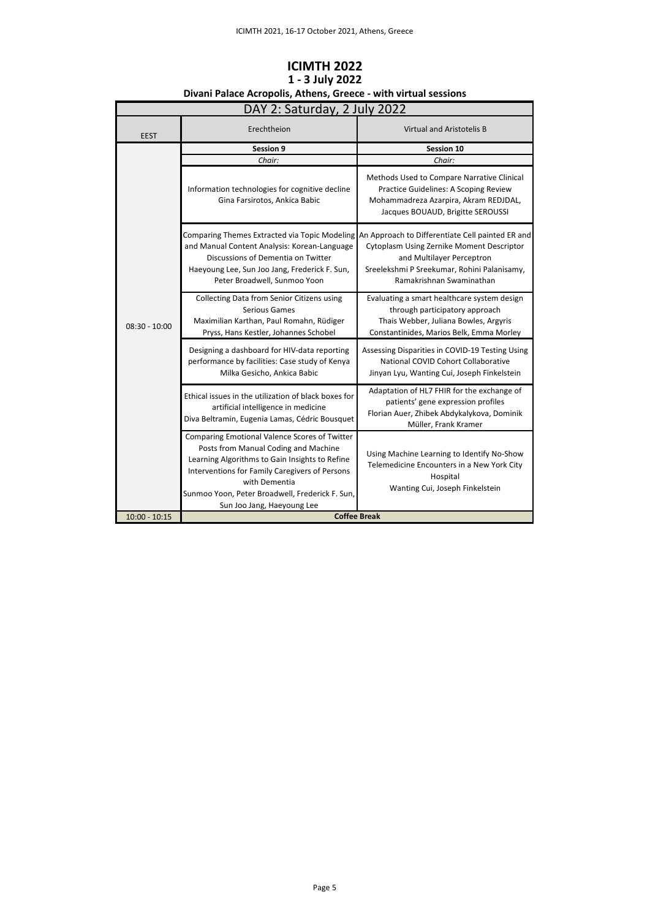| DAY 2: Saturday, 2 July 2022 |                                                                                                                                                                                                                                                                                             |                                                                                                                                                                                                                                                     |
|------------------------------|---------------------------------------------------------------------------------------------------------------------------------------------------------------------------------------------------------------------------------------------------------------------------------------------|-----------------------------------------------------------------------------------------------------------------------------------------------------------------------------------------------------------------------------------------------------|
| <b>EEST</b>                  | Erechtheion                                                                                                                                                                                                                                                                                 | Virtual and Aristotelis B                                                                                                                                                                                                                           |
|                              | Session 9                                                                                                                                                                                                                                                                                   | Session 10                                                                                                                                                                                                                                          |
|                              | Chair:                                                                                                                                                                                                                                                                                      | Chair:                                                                                                                                                                                                                                              |
| $08:30 - 10:00$              | Information technologies for cognitive decline<br>Gina Farsirotos, Ankica Babic                                                                                                                                                                                                             | Methods Used to Compare Narrative Clinical<br>Practice Guidelines: A Scoping Review<br>Mohammadreza Azarpira, Akram REDJDAL,<br>Jacques BOUAUD, Brigitte SEROUSSI                                                                                   |
|                              | and Manual Content Analysis: Korean-Language<br>Discussions of Dementia on Twitter<br>Haeyoung Lee, Sun Joo Jang, Frederick F. Sun,<br>Peter Broadwell, Sunmoo Yoon                                                                                                                         | Comparing Themes Extracted via Topic Modeling An Approach to Differentiate Cell painted ER and<br>Cytoplasm Using Zernike Moment Descriptor<br>and Multilayer Perceptron<br>Sreelekshmi P Sreekumar, Rohini Palanisamy,<br>Ramakrishnan Swaminathan |
|                              | Collecting Data from Senior Citizens using<br>Serious Games<br>Maximilian Karthan, Paul Romahn, Rüdiger<br>Pryss, Hans Kestler, Johannes Schobel                                                                                                                                            | Evaluating a smart healthcare system design<br>through participatory approach<br>Thais Webber, Juliana Bowles, Argyris<br>Constantinides, Marios Belk, Emma Morley                                                                                  |
|                              | Designing a dashboard for HIV-data reporting<br>performance by facilities: Case study of Kenya<br>Milka Gesicho, Ankica Babic                                                                                                                                                               | Assessing Disparities in COVID-19 Testing Using<br>National COVID Cohort Collaborative<br>Jinyan Lyu, Wanting Cui, Joseph Finkelstein                                                                                                               |
|                              | Ethical issues in the utilization of black boxes for<br>artificial intelligence in medicine<br>Diva Beltramin, Eugenia Lamas, Cédric Bousquet                                                                                                                                               | Adaptation of HL7 FHIR for the exchange of<br>patients' gene expression profiles<br>Florian Auer, Zhibek Abdykalykova, Dominik<br>Müller, Frank Kramer                                                                                              |
|                              | Comparing Emotional Valence Scores of Twitter<br>Posts from Manual Coding and Machine<br>Learning Algorithms to Gain Insights to Refine<br>Interventions for Family Caregivers of Persons<br>with Dementia<br>Sunmoo Yoon, Peter Broadwell, Frederick F. Sun,<br>Sun Joo Jang, Haeyoung Lee | Using Machine Learning to Identify No-Show<br>Telemedicine Encounters in a New York City<br>Hospital<br>Wanting Cui, Joseph Finkelstein                                                                                                             |
| $10:00 - 10:15$              |                                                                                                                                                                                                                                                                                             | <b>Coffee Break</b>                                                                                                                                                                                                                                 |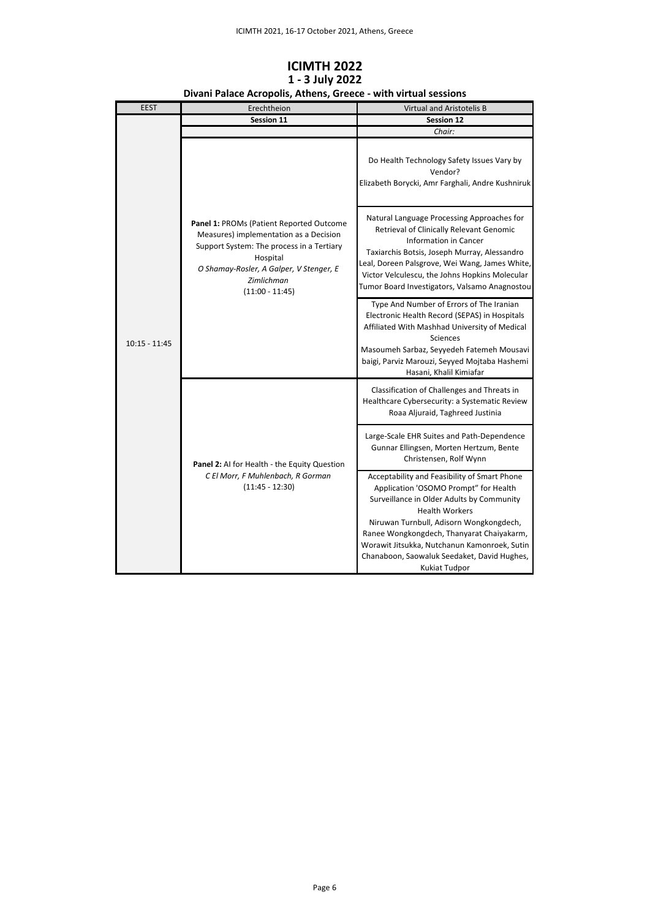| <b>EEST</b>     | Erechtheion                                                                                                                                                                                                                      | Virtual and Aristotelis B                                                                                                                                                                                                                                                                                                                                                  |
|-----------------|----------------------------------------------------------------------------------------------------------------------------------------------------------------------------------------------------------------------------------|----------------------------------------------------------------------------------------------------------------------------------------------------------------------------------------------------------------------------------------------------------------------------------------------------------------------------------------------------------------------------|
| $10:15 - 11:45$ | Session 11                                                                                                                                                                                                                       | <b>Session 12</b>                                                                                                                                                                                                                                                                                                                                                          |
|                 |                                                                                                                                                                                                                                  | Chair:                                                                                                                                                                                                                                                                                                                                                                     |
|                 | <b>Panel 1: PROMs (Patient Reported Outcome</b><br>Measures) implementation as a Decision<br>Support System: The process in a Tertiary<br>Hospital<br>O Shamay-Rosler, A Galper, V Stenger, E<br>Zimlichman<br>$(11:00 - 11:45)$ | Do Health Technology Safety Issues Vary by<br>Vendor?<br>Elizabeth Borycki, Amr Farghali, Andre Kushniruk                                                                                                                                                                                                                                                                  |
|                 |                                                                                                                                                                                                                                  | Natural Language Processing Approaches for<br>Retrieval of Clinically Relevant Genomic<br>Information in Cancer<br>Taxiarchis Botsis, Joseph Murray, Alessandro<br>Leal, Doreen Palsgrove, Wei Wang, James White,<br>Victor Velculescu, the Johns Hopkins Molecular<br>Tumor Board Investigators, Valsamo Anagnostou                                                       |
|                 |                                                                                                                                                                                                                                  | Type And Number of Errors of The Iranian<br>Electronic Health Record (SEPAS) in Hospitals<br>Affiliated With Mashhad University of Medical<br>Sciences<br>Masoumeh Sarbaz, Seyyedeh Fatemeh Mousavi<br>baigi, Parviz Marouzi, Seyyed Mojtaba Hashemi<br>Hasani, Khalil Kimiafar                                                                                            |
|                 |                                                                                                                                                                                                                                  | Classification of Challenges and Threats in<br>Healthcare Cybersecurity: a Systematic Review<br>Roaa Aljuraid, Taghreed Justinia                                                                                                                                                                                                                                           |
|                 | Panel 2: Al for Health - the Equity Question                                                                                                                                                                                     | Large-Scale EHR Suites and Path-Dependence<br>Gunnar Ellingsen, Morten Hertzum, Bente<br>Christensen, Rolf Wynn                                                                                                                                                                                                                                                            |
|                 | C El Morr, F Muhlenbach, R Gorman<br>$(11:45 - 12:30)$                                                                                                                                                                           | Acceptability and Feasibility of Smart Phone<br>Application 'OSOMO Prompt" for Health<br>Surveillance in Older Adults by Community<br><b>Health Workers</b><br>Niruwan Turnbull, Adisorn Wongkongdech,<br>Ranee Wongkongdech, Thanyarat Chaiyakarm,<br>Worawit Jitsukka, Nutchanun Kamonroek, Sutin<br>Chanaboon, Saowaluk Seedaket, David Hughes,<br><b>Kukiat Tudpor</b> |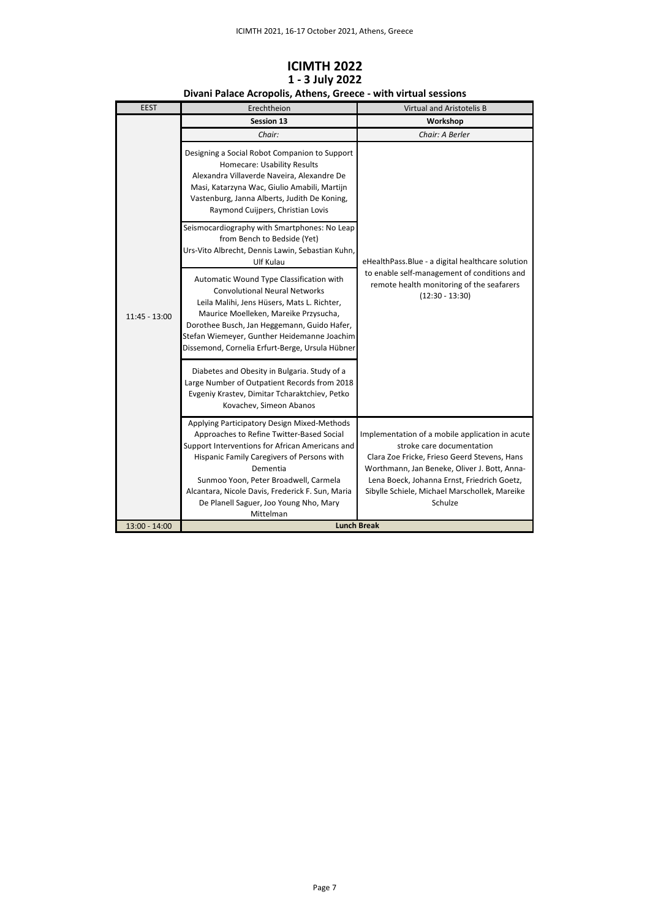| <b>EEST</b>     | Erechtheion                                                                                                                                                                                                                                                                                                                                               | Virtual and Aristotelis B                                                                                                                                                                                                                                                               |
|-----------------|-----------------------------------------------------------------------------------------------------------------------------------------------------------------------------------------------------------------------------------------------------------------------------------------------------------------------------------------------------------|-----------------------------------------------------------------------------------------------------------------------------------------------------------------------------------------------------------------------------------------------------------------------------------------|
|                 | <b>Session 13</b>                                                                                                                                                                                                                                                                                                                                         | Workshop                                                                                                                                                                                                                                                                                |
| 11:45 - 13:00   | Chair:                                                                                                                                                                                                                                                                                                                                                    | Chair: A Berler                                                                                                                                                                                                                                                                         |
|                 | Designing a Social Robot Companion to Support<br>Homecare: Usability Results<br>Alexandra Villaverde Naveira, Alexandre De<br>Masi, Katarzyna Wac, Giulio Amabili, Martijn<br>Vastenburg, Janna Alberts, Judith De Koning,<br>Raymond Cuijpers, Christian Lovis                                                                                           |                                                                                                                                                                                                                                                                                         |
|                 | Seismocardiography with Smartphones: No Leap<br>from Bench to Bedside (Yet)<br>Urs-Vito Albrecht, Dennis Lawin, Sebastian Kuhn,<br>Ulf Kulau                                                                                                                                                                                                              | eHealthPass.Blue - a digital healthcare solution                                                                                                                                                                                                                                        |
|                 | Automatic Wound Type Classification with<br><b>Convolutional Neural Networks</b><br>Leila Malihi, Jens Hüsers, Mats L. Richter,<br>Maurice Moelleken, Mareike Przysucha,<br>Dorothee Busch, Jan Heggemann, Guido Hafer,<br>Stefan Wiemeyer, Gunther Heidemanne Joachim<br>Dissemond, Cornelia Erfurt-Berge, Ursula Hübner                                 | to enable self-management of conditions and<br>remote health monitoring of the seafarers<br>$(12:30 - 13:30)$                                                                                                                                                                           |
|                 | Diabetes and Obesity in Bulgaria. Study of a<br>Large Number of Outpatient Records from 2018<br>Evgeniy Krastev, Dimitar Tcharaktchiev, Petko<br>Kovachev, Simeon Abanos                                                                                                                                                                                  |                                                                                                                                                                                                                                                                                         |
|                 | Applying Participatory Design Mixed-Methods<br>Approaches to Refine Twitter-Based Social<br>Support Interventions for African Americans and<br>Hispanic Family Caregivers of Persons with<br>Dementia<br>Sunmoo Yoon, Peter Broadwell, Carmela<br>Alcantara, Nicole Davis, Frederick F. Sun, Maria<br>De Planell Saguer, Joo Young Nho, Mary<br>Mittelman | Implementation of a mobile application in acute<br>stroke care documentation<br>Clara Zoe Fricke, Frieso Geerd Stevens, Hans<br>Worthmann, Jan Beneke, Oliver J. Bott, Anna-<br>Lena Boeck, Johanna Ernst, Friedrich Goetz,<br>Sibylle Schiele, Michael Marschollek, Mareike<br>Schulze |
| $13:00 - 14:00$ | <b>Lunch Break</b>                                                                                                                                                                                                                                                                                                                                        |                                                                                                                                                                                                                                                                                         |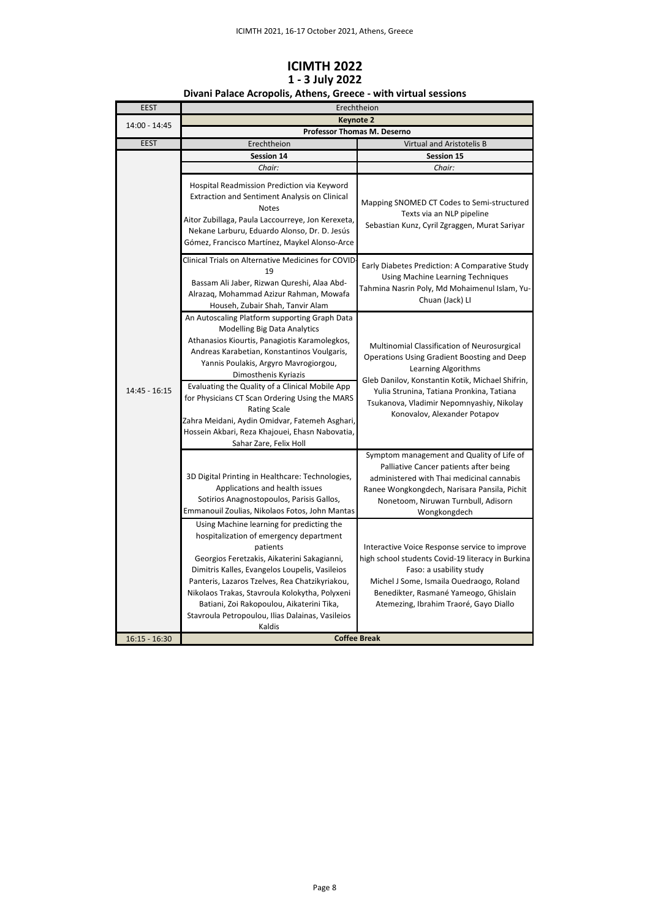## **ICIMTH 2022 1 - 3 July 2022**

#### **Divani Palace Acropolis, Athens, Greece - with virtual sessions**

| <b>EEST</b>     | Erechtheion                                                                                                                                                                                                                                                                                                                                                                                                                                                                                                      |                                                                                                                                                                                                                                                                                                 |
|-----------------|------------------------------------------------------------------------------------------------------------------------------------------------------------------------------------------------------------------------------------------------------------------------------------------------------------------------------------------------------------------------------------------------------------------------------------------------------------------------------------------------------------------|-------------------------------------------------------------------------------------------------------------------------------------------------------------------------------------------------------------------------------------------------------------------------------------------------|
| 14:00 - 14:45   | <b>Keynote 2</b><br>Professor Thomas M. Deserno                                                                                                                                                                                                                                                                                                                                                                                                                                                                  |                                                                                                                                                                                                                                                                                                 |
|                 |                                                                                                                                                                                                                                                                                                                                                                                                                                                                                                                  |                                                                                                                                                                                                                                                                                                 |
| <b>EEST</b>     | Erechtheion                                                                                                                                                                                                                                                                                                                                                                                                                                                                                                      | Virtual and Aristotelis B                                                                                                                                                                                                                                                                       |
|                 | Session 14                                                                                                                                                                                                                                                                                                                                                                                                                                                                                                       | Session 15                                                                                                                                                                                                                                                                                      |
|                 | Chair:                                                                                                                                                                                                                                                                                                                                                                                                                                                                                                           | Chair:                                                                                                                                                                                                                                                                                          |
|                 | Hospital Readmission Prediction via Keyword<br>Extraction and Sentiment Analysis on Clinical<br><b>Notes</b><br>Aitor Zubillaga, Paula Laccourreye, Jon Kerexeta,<br>Nekane Larburu, Eduardo Alonso, Dr. D. Jesús<br>Gómez, Francisco Martínez, Maykel Alonso-Arce                                                                                                                                                                                                                                               | Mapping SNOMED CT Codes to Semi-structured<br>Texts via an NLP pipeline<br>Sebastian Kunz, Cyril Zgraggen, Murat Sariyar                                                                                                                                                                        |
|                 | Clinical Trials on Alternative Medicines for COVID<br>19<br>Bassam Ali Jaber, Rizwan Qureshi, Alaa Abd-<br>Alrazaq, Mohammad Azizur Rahman, Mowafa<br>Househ, Zubair Shah, Tanvir Alam                                                                                                                                                                                                                                                                                                                           | Early Diabetes Prediction: A Comparative Study<br>Using Machine Learning Techniques<br>Tahmina Nasrin Poly, Md Mohaimenul Islam, Yu-<br>Chuan (Jack) LI                                                                                                                                         |
| 14:45 - 16:15   | An Autoscaling Platform supporting Graph Data<br><b>Modelling Big Data Analytics</b><br>Athanasios Kiourtis, Panagiotis Karamolegkos,<br>Andreas Karabetian, Konstantinos Voulgaris,<br>Yannis Poulakis, Argyro Mavrogiorgou,<br>Dimosthenis Kyriazis<br>Evaluating the Quality of a Clinical Mobile App<br>for Physicians CT Scan Ordering Using the MARS<br><b>Rating Scale</b><br>Zahra Meidani, Aydin Omidvar, Fatemeh Asghari,<br>Hossein Akbari, Reza Khajouei, Ehasn Nabovatia,<br>Sahar Zare, Felix Holl | Multinomial Classification of Neurosurgical<br>Operations Using Gradient Boosting and Deep<br>Learning Algorithms<br>Gleb Danilov, Konstantin Kotik, Michael Shifrin,<br>Yulia Strunina, Tatiana Pronkina, Tatiana<br>Tsukanova, Vladimir Nepomnyashiy, Nikolay<br>Konovalov, Alexander Potapov |
|                 | 3D Digital Printing in Healthcare: Technologies,<br>Applications and health issues<br>Sotirios Anagnostopoulos, Parisis Gallos,<br>Emmanouil Zoulias, Nikolaos Fotos, John Mantas                                                                                                                                                                                                                                                                                                                                | Symptom management and Quality of Life of<br>Palliative Cancer patients after being<br>administered with Thai medicinal cannabis<br>Ranee Wongkongdech, Narisara Pansila, Pichit<br>Nonetoom, Niruwan Turnbull, Adisorn<br>Wongkongdech                                                         |
|                 | Using Machine learning for predicting the<br>hospitalization of emergency department<br>patients<br>Georgios Feretzakis, Aikaterini Sakagianni,<br>Dimitris Kalles, Evangelos Loupelis, Vasileios<br>Panteris, Lazaros Tzelves, Rea Chatzikyriakou,<br>Nikolaos Trakas, Stavroula Kolokytha, Polyxeni<br>Batiani, Zoi Rakopoulou, Aikaterini Tika,<br>Stavroula Petropoulou, Ilias Dalainas, Vasileios<br>Kaldis                                                                                                 | Interactive Voice Response service to improve<br>high school students Covid-19 literacy in Burkina<br>Faso: a usability study<br>Michel J Some, Ismaila Ouedraogo, Roland<br>Benedikter, Rasmané Yameogo, Ghislain<br>Atemezing, Ibrahim Traoré, Gayo Diallo                                    |
| $16:15 - 16:30$ | <b>Coffee Break</b>                                                                                                                                                                                                                                                                                                                                                                                                                                                                                              |                                                                                                                                                                                                                                                                                                 |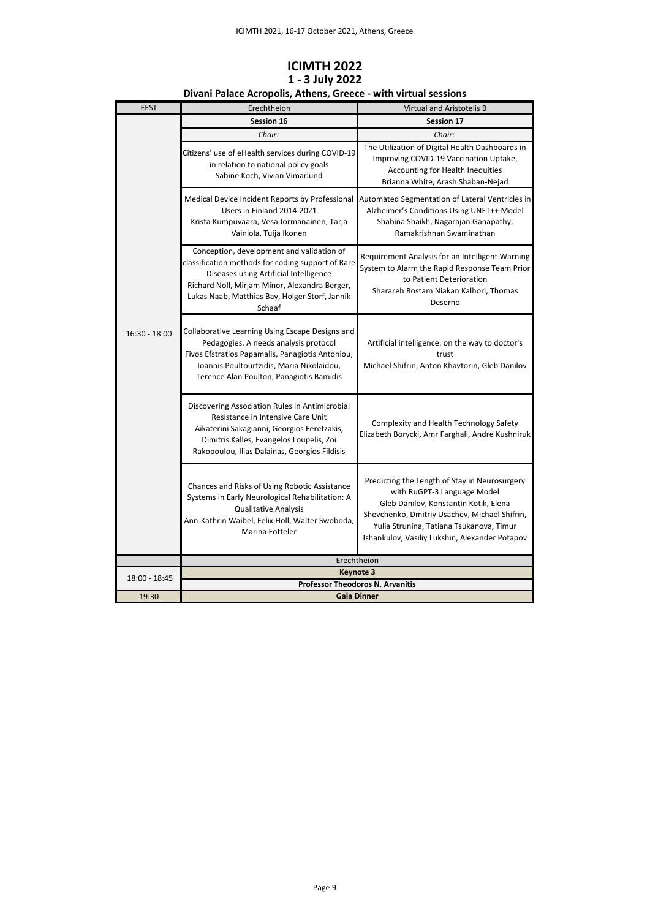| <b>EEST</b>     | Erechtheion                                                                                                                                                                                                                                           | Virtual and Aristotelis B                                                                                                                                                                                                                                            |
|-----------------|-------------------------------------------------------------------------------------------------------------------------------------------------------------------------------------------------------------------------------------------------------|----------------------------------------------------------------------------------------------------------------------------------------------------------------------------------------------------------------------------------------------------------------------|
|                 | Session 16                                                                                                                                                                                                                                            | <b>Session 17</b>                                                                                                                                                                                                                                                    |
|                 | Chair:                                                                                                                                                                                                                                                | Chair:                                                                                                                                                                                                                                                               |
|                 | Citizens' use of eHealth services during COVID-19<br>in relation to national policy goals<br>Sabine Koch, Vivian Vimarlund                                                                                                                            | The Utilization of Digital Health Dashboards in<br>Improving COVID-19 Vaccination Uptake,<br>Accounting for Health Inequities<br>Brianna White, Arash Shaban-Nejad                                                                                                   |
|                 | Medical Device Incident Reports by Professional<br>Users in Finland 2014-2021<br>Krista Kumpuvaara, Vesa Jormanainen, Tarja<br>Vainiola, Tuija Ikonen                                                                                                 | Automated Segmentation of Lateral Ventricles in<br>Alzheimer's Conditions Using UNET++ Model<br>Shabina Shaikh, Nagarajan Ganapathy,<br>Ramakrishnan Swaminathan                                                                                                     |
|                 | Conception, development and validation of<br>classification methods for coding support of Rare<br>Diseases using Artificial Intelligence<br>Richard Noll, Mirjam Minor, Alexandra Berger,<br>Lukas Naab, Matthias Bay, Holger Storf, Jannik<br>Schaaf | Requirement Analysis for an Intelligent Warning<br>System to Alarm the Rapid Response Team Prior<br>to Patient Deterioration<br>Sharareh Rostam Niakan Kalhori, Thomas<br>Deserno                                                                                    |
| $16:30 - 18:00$ | Collaborative Learning Using Escape Designs and<br>Pedagogies. A needs analysis protocol<br>Fivos Efstratios Papamalis, Panagiotis Antoniou,<br>Ioannis Poultourtzidis, Maria Nikolaidou,<br>Terence Alan Poulton, Panagiotis Bamidis                 | Artificial intelligence: on the way to doctor's<br>trust<br>Michael Shifrin, Anton Khavtorin, Gleb Danilov                                                                                                                                                           |
|                 | Discovering Association Rules in Antimicrobial<br>Resistance in Intensive Care Unit<br>Aikaterini Sakagianni, Georgios Feretzakis,<br>Dimitris Kalles, Evangelos Loupelis, Zoi<br>Rakopoulou, Ilias Dalainas, Georgios Fildisis                       | Complexity and Health Technology Safety<br>Elizabeth Borycki, Amr Farghali, Andre Kushniruk                                                                                                                                                                          |
|                 | Chances and Risks of Using Robotic Assistance<br>Systems in Early Neurological Rehabilitation: A<br>Qualitative Analysis<br>Ann-Kathrin Waibel, Felix Holl, Walter Swoboda,<br>Marina Fotteler                                                        | Predicting the Length of Stay in Neurosurgery<br>with RuGPT-3 Language Model<br>Gleb Danilov, Konstantin Kotik, Elena<br>Shevchenko, Dmitriy Usachev, Michael Shifrin,<br>Yulia Strunina, Tatiana Tsukanova, Timur<br>Ishankulov, Vasiliy Lukshin, Alexander Potapov |
|                 |                                                                                                                                                                                                                                                       | Erechtheion                                                                                                                                                                                                                                                          |
| 18:00 - 18:45   | Keynote 3                                                                                                                                                                                                                                             |                                                                                                                                                                                                                                                                      |
|                 | <b>Professor Theodoros N. Arvanitis</b>                                                                                                                                                                                                               |                                                                                                                                                                                                                                                                      |
| 19:30           |                                                                                                                                                                                                                                                       | <b>Gala Dinner</b>                                                                                                                                                                                                                                                   |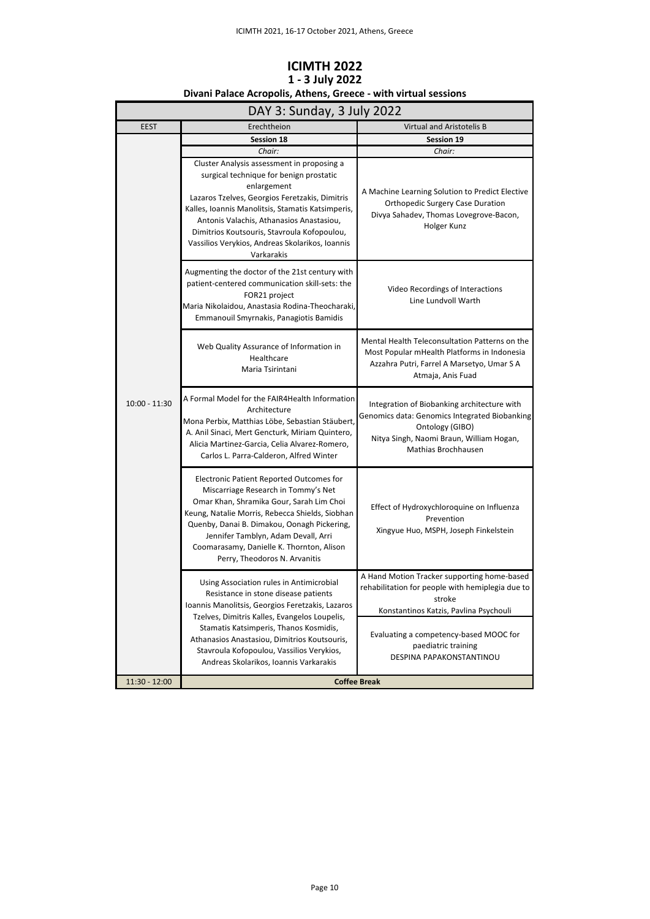| DAY 3: Sunday, 3 July 2022 |                                                                                                                                                                                                                                                                                                                                                                         |                                                                                                                                                                                               |
|----------------------------|-------------------------------------------------------------------------------------------------------------------------------------------------------------------------------------------------------------------------------------------------------------------------------------------------------------------------------------------------------------------------|-----------------------------------------------------------------------------------------------------------------------------------------------------------------------------------------------|
| <b>EEST</b>                | Erechtheion                                                                                                                                                                                                                                                                                                                                                             | Virtual and Aristotelis B                                                                                                                                                                     |
|                            | <b>Session 18</b>                                                                                                                                                                                                                                                                                                                                                       | Session 19                                                                                                                                                                                    |
|                            | Chair:                                                                                                                                                                                                                                                                                                                                                                  | Chair:                                                                                                                                                                                        |
|                            | Cluster Analysis assessment in proposing a<br>surgical technique for benign prostatic<br>enlargement<br>Lazaros Tzelves, Georgios Feretzakis, Dimitris<br>Kalles, Ioannis Manolitsis, Stamatis Katsimperis,<br>Antonis Valachis, Athanasios Anastasiou,<br>Dimitrios Koutsouris, Stavroula Kofopoulou,<br>Vassilios Verykios, Andreas Skolarikos, Ioannis<br>Varkarakis | A Machine Learning Solution to Predict Elective<br><b>Orthopedic Surgery Case Duration</b><br>Divya Sahadev, Thomas Lovegrove-Bacon,<br>Holger Kunz                                           |
|                            | Augmenting the doctor of the 21st century with<br>patient-centered communication skill-sets: the<br>FOR21 project<br>Maria Nikolaidou, Anastasia Rodina-Theocharaki,<br>Emmanouil Smyrnakis, Panagiotis Bamidis                                                                                                                                                         | Video Recordings of Interactions<br>Line Lundvoll Warth                                                                                                                                       |
|                            | Web Quality Assurance of Information in<br>Healthcare<br>Maria Tsirintani                                                                                                                                                                                                                                                                                               | Mental Health Teleconsultation Patterns on the<br>Most Popular mHealth Platforms in Indonesia<br>Azzahra Putri, Farrel A Marsetyo, Umar S A<br>Atmaja, Anis Fuad                              |
| $10:00 - 11:30$            | A Formal Model for the FAIR4Health Information<br>Architecture<br>Mona Perbix, Matthias Löbe, Sebastian Stäubert,<br>A. Anil Sinaci, Mert Gencturk, Miriam Quintero,<br>Alicia Martinez-Garcia, Celia Alvarez-Romero,<br>Carlos L. Parra-Calderon, Alfred Winter                                                                                                        | Integration of Biobanking architecture with<br>Genomics data: Genomics Integrated Biobanking<br>Ontology (GIBO)<br>Nitya Singh, Naomi Braun, William Hogan,<br>Mathias Brochhausen            |
|                            | Electronic Patient Reported Outcomes for<br>Miscarriage Research in Tommy's Net<br>Omar Khan, Shramika Gour, Sarah Lim Choi<br>Keung, Natalie Morris, Rebecca Shields, Siobhan<br>Quenby, Danai B. Dimakou, Oonagh Pickering,<br>Jennifer Tamblyn, Adam Devall, Arri<br>Coomarasamy, Danielle K. Thornton, Alison<br>Perry, Theodoros N. Arvanitis                      | Effect of Hydroxychloroquine on Influenza<br>Prevention<br>Xingyue Huo, MSPH, Joseph Finkelstein                                                                                              |
|                            | Using Association rules in Antimicrobial<br>Resistance in stone disease patients<br>Ioannis Manolitsis, Georgios Feretzakis, Lazaros<br>Tzelves, Dimitris Kalles, Evangelos Loupelis,<br>Stamatis Katsimperis, Thanos Kosmidis,<br>Athanasios Anastasiou, Dimitrios Koutsouris,                                                                                         | A Hand Motion Tracker supporting home-based<br>rehabilitation for people with hemiplegia due to<br>stroke<br>Konstantinos Katzis, Pavlina Psychouli<br>Evaluating a competency-based MOOC for |
|                            | Stavroula Kofopoulou, Vassilios Verykios,<br>Andreas Skolarikos, Ioannis Varkarakis                                                                                                                                                                                                                                                                                     | paediatric training<br>DESPINA PAPAKONSTANTINOU                                                                                                                                               |
| 11:30 - 12:00              | <b>Coffee Break</b>                                                                                                                                                                                                                                                                                                                                                     |                                                                                                                                                                                               |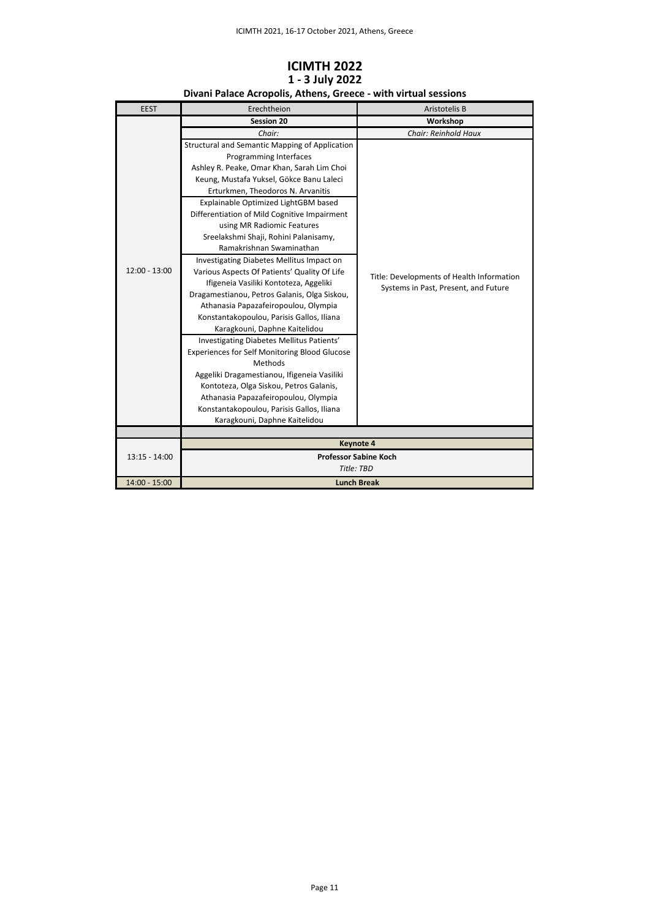| <b>EEST</b>     | Erechtheion                                          | Aristotelis B                             |
|-----------------|------------------------------------------------------|-------------------------------------------|
|                 | <b>Session 20</b>                                    | Workshop                                  |
|                 | Chair:                                               | Chair: Reinhold Haux                      |
|                 | Structural and Semantic Mapping of Application       |                                           |
|                 | Programming Interfaces                               |                                           |
|                 | Ashley R. Peake, Omar Khan, Sarah Lim Choi           |                                           |
|                 | Keung, Mustafa Yuksel, Gökce Banu Laleci             |                                           |
|                 | Erturkmen, Theodoros N. Arvanitis                    |                                           |
|                 | Explainable Optimized LightGBM based                 |                                           |
|                 | Differentiation of Mild Cognitive Impairment         |                                           |
|                 | using MR Radiomic Features                           |                                           |
|                 | Sreelakshmi Shaji, Rohini Palanisamy,                |                                           |
|                 | Ramakrishnan Swaminathan                             |                                           |
|                 | Investigating Diabetes Mellitus Impact on            |                                           |
| $12:00 - 13:00$ | Various Aspects Of Patients' Quality Of Life         | Title: Developments of Health Information |
|                 | Ifigeneia Vasiliki Kontoteza, Aggeliki               | Systems in Past, Present, and Future      |
|                 | Dragamestianou, Petros Galanis, Olga Siskou,         |                                           |
|                 | Athanasia Papazafeiropoulou, Olympia                 |                                           |
|                 | Konstantakopoulou, Parisis Gallos, Iliana            |                                           |
|                 | Karagkouni, Daphne Kaitelidou                        |                                           |
|                 | Investigating Diabetes Mellitus Patients'            |                                           |
|                 | <b>Experiences for Self Monitoring Blood Glucose</b> |                                           |
|                 | Methods                                              |                                           |
|                 | Aggeliki Dragamestianou, Ifigeneia Vasiliki          |                                           |
|                 | Kontoteza, Olga Siskou, Petros Galanis,              |                                           |
|                 | Athanasia Papazafeiropoulou, Olympia                 |                                           |
|                 | Konstantakopoulou, Parisis Gallos, Iliana            |                                           |
|                 | Karagkouni, Daphne Kaitelidou                        |                                           |
|                 |                                                      |                                           |
|                 | <b>Keynote 4</b>                                     |                                           |
| $13:15 - 14:00$ | <b>Professor Sabine Koch</b>                         |                                           |
|                 | Title: TBD                                           |                                           |
| 14:00 - 15:00   | <b>Lunch Break</b>                                   |                                           |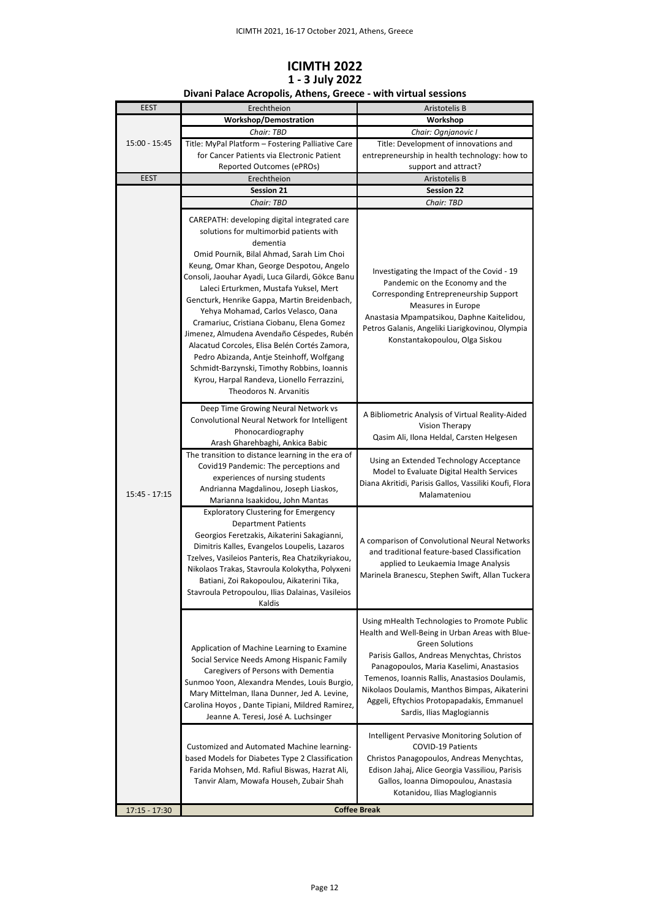## **ICIMTH 2022 1 - 3 July 2022**

| <b>EEST</b>     | Erechtheion                                                                                                                                                                                                                                                                                                                                                                                                                                                                                                                                                                                                                                                                                         | Aristotelis B                                                                                                                                                                                                                                                                                                                                                                                      |
|-----------------|-----------------------------------------------------------------------------------------------------------------------------------------------------------------------------------------------------------------------------------------------------------------------------------------------------------------------------------------------------------------------------------------------------------------------------------------------------------------------------------------------------------------------------------------------------------------------------------------------------------------------------------------------------------------------------------------------------|----------------------------------------------------------------------------------------------------------------------------------------------------------------------------------------------------------------------------------------------------------------------------------------------------------------------------------------------------------------------------------------------------|
| 15:00 - 15:45   | <b>Workshop/Demostration</b>                                                                                                                                                                                                                                                                                                                                                                                                                                                                                                                                                                                                                                                                        | Workshop                                                                                                                                                                                                                                                                                                                                                                                           |
|                 | Chair: TBD                                                                                                                                                                                                                                                                                                                                                                                                                                                                                                                                                                                                                                                                                          | Chair: Ognjanovic I                                                                                                                                                                                                                                                                                                                                                                                |
|                 | Title: MyPal Platform - Fostering Palliative Care                                                                                                                                                                                                                                                                                                                                                                                                                                                                                                                                                                                                                                                   | Title: Development of innovations and                                                                                                                                                                                                                                                                                                                                                              |
|                 | for Cancer Patients via Electronic Patient                                                                                                                                                                                                                                                                                                                                                                                                                                                                                                                                                                                                                                                          | entrepreneurship in health technology: how to                                                                                                                                                                                                                                                                                                                                                      |
|                 | Reported Outcomes (ePROs)                                                                                                                                                                                                                                                                                                                                                                                                                                                                                                                                                                                                                                                                           | support and attract?                                                                                                                                                                                                                                                                                                                                                                               |
| <b>EEST</b>     | Erechtheion                                                                                                                                                                                                                                                                                                                                                                                                                                                                                                                                                                                                                                                                                         | Aristotelis B                                                                                                                                                                                                                                                                                                                                                                                      |
| $15:45 - 17:15$ | <b>Session 21</b>                                                                                                                                                                                                                                                                                                                                                                                                                                                                                                                                                                                                                                                                                   | <b>Session 22</b>                                                                                                                                                                                                                                                                                                                                                                                  |
|                 | Chair: TBD                                                                                                                                                                                                                                                                                                                                                                                                                                                                                                                                                                                                                                                                                          | Chair: TBD                                                                                                                                                                                                                                                                                                                                                                                         |
|                 | CAREPATH: developing digital integrated care<br>solutions for multimorbid patients with<br>dementia<br>Omid Pournik, Bilal Ahmad, Sarah Lim Choi<br>Keung, Omar Khan, George Despotou, Angelo<br>Consoli, Jaouhar Ayadi, Luca Gilardi, Gökce Banu<br>Laleci Erturkmen, Mustafa Yuksel, Mert<br>Gencturk, Henrike Gappa, Martin Breidenbach,<br>Yehya Mohamad, Carlos Velasco, Oana<br>Cramariuc, Cristiana Ciobanu, Elena Gomez<br>Jimenez, Almudena Avendaño Céspedes, Rubén<br>Alacatud Corcoles, Elisa Belén Cortés Zamora,<br>Pedro Abizanda, Antje Steinhoff, Wolfgang<br>Schmidt-Barzynski, Timothy Robbins, Ioannis<br>Kyrou, Harpal Randeva, Lionello Ferrazzini,<br>Theodoros N. Arvanitis | Investigating the Impact of the Covid - 19<br>Pandemic on the Economy and the<br>Corresponding Entrepreneurship Support<br>Measures in Europe<br>Anastasia Mpampatsikou, Daphne Kaitelidou,<br>Petros Galanis, Angeliki Liarigkovinou, Olympia<br>Konstantakopoulou, Olga Siskou                                                                                                                   |
|                 | Deep Time Growing Neural Network vs<br>Convolutional Neural Network for Intelligent<br>Phonocardiography<br>Arash Gharehbaghi, Ankica Babic                                                                                                                                                                                                                                                                                                                                                                                                                                                                                                                                                         | A Bibliometric Analysis of Virtual Reality-Aided<br>Vision Therapy<br>Qasim Ali, Ilona Heldal, Carsten Helgesen                                                                                                                                                                                                                                                                                    |
|                 | The transition to distance learning in the era of<br>Covid19 Pandemic: The perceptions and<br>experiences of nursing students<br>Andrianna Magdalinou, Joseph Liaskos,<br>Marianna Isaakidou, John Mantas                                                                                                                                                                                                                                                                                                                                                                                                                                                                                           | Using an Extended Technology Acceptance<br>Model to Evaluate Digital Health Services<br>Diana Akritidi, Parisis Gallos, Vassiliki Koufi, Flora<br>Malamateniou                                                                                                                                                                                                                                     |
|                 | <b>Exploratory Clustering for Emergency</b><br><b>Department Patients</b><br>Georgios Feretzakis, Aikaterini Sakagianni,<br>Dimitris Kalles, Evangelos Loupelis, Lazaros<br>Tzelves, Vasileios Panteris, Rea Chatzikyriakou,<br>Nikolaos Trakas, Stavroula Kolokytha, Polyxeni<br>Batiani, Zoi Rakopoulou, Aikaterini Tika,<br>Stavroula Petropoulou, Ilias Dalainas, Vasileios<br>Kaldis                                                                                                                                                                                                                                                                                                           | A comparison of Convolutional Neural Networks<br>and traditional feature-based Classification<br>applied to Leukaemia Image Analysis<br>Marinela Branescu, Stephen Swift, Allan Tuckera                                                                                                                                                                                                            |
|                 | Application of Machine Learning to Examine<br>Social Service Needs Among Hispanic Family<br>Caregivers of Persons with Dementia<br>Sunmoo Yoon, Alexandra Mendes, Louis Burgio,<br>Mary Mittelman, Ilana Dunner, Jed A. Levine,<br>Carolina Hoyos, Dante Tipiani, Mildred Ramirez,<br>Jeanne A. Teresi, José A. Luchsinger                                                                                                                                                                                                                                                                                                                                                                          | Using mHealth Technologies to Promote Public<br>Health and Well-Being in Urban Areas with Blue-<br><b>Green Solutions</b><br>Parisis Gallos, Andreas Menychtas, Christos<br>Panagopoulos, Maria Kaselimi, Anastasios<br>Temenos, Ioannis Rallis, Anastasios Doulamis,<br>Nikolaos Doulamis, Manthos Bimpas, Aikaterini<br>Aggeli, Eftychios Protopapadakis, Emmanuel<br>Sardis, Ilias Maglogiannis |
|                 | Customized and Automated Machine learning-<br>based Models for Diabetes Type 2 Classification<br>Farida Mohsen, Md. Rafiul Biswas, Hazrat Ali,<br>Tanvir Alam, Mowafa Househ, Zubair Shah                                                                                                                                                                                                                                                                                                                                                                                                                                                                                                           | Intelligent Pervasive Monitoring Solution of<br><b>COVID-19 Patients</b><br>Christos Panagopoulos, Andreas Menychtas,<br>Edison Jahaj, Alice Georgia Vassiliou, Parisis<br>Gallos, Ioanna Dimopoulou, Anastasia<br>Kotanidou, Ilias Maglogiannis                                                                                                                                                   |

# **Divani Palace Acropolis, Athens, Greece - with virtual sessions**

**Coffee Break**

17:15 - 17:30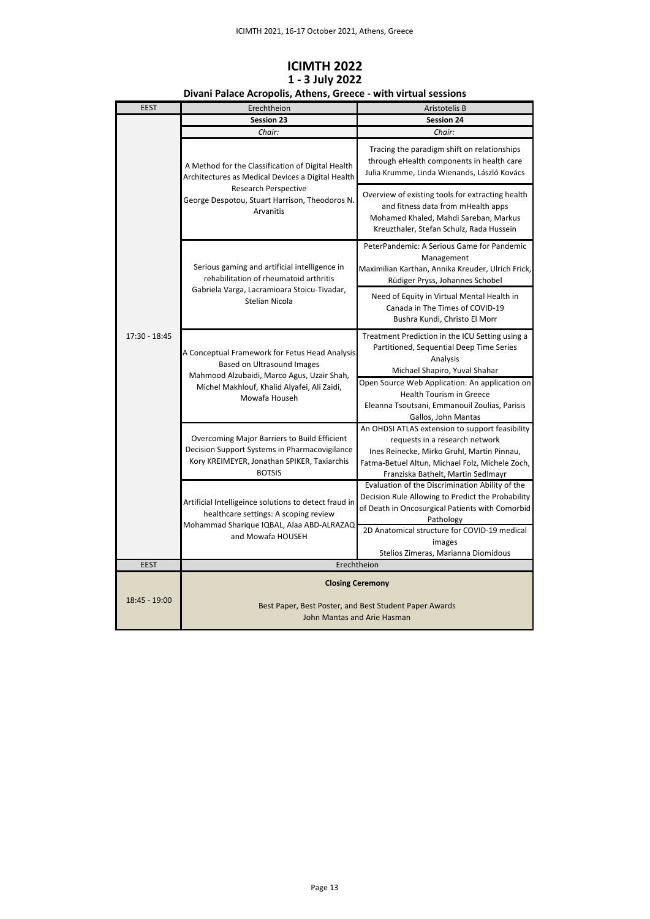| <b>EEST</b>   | Erechtheion                                                                                                                                                                                   | Aristotelis B                                                                                                                                                                                                            |
|---------------|-----------------------------------------------------------------------------------------------------------------------------------------------------------------------------------------------|--------------------------------------------------------------------------------------------------------------------------------------------------------------------------------------------------------------------------|
|               | Session 23                                                                                                                                                                                    | <b>Session 24</b>                                                                                                                                                                                                        |
| 17:30 - 18:45 | Chair:                                                                                                                                                                                        | Chair:                                                                                                                                                                                                                   |
|               | A Method for the Classification of Digital Health<br>Architectures as Medical Devices a Digital Health<br>Research Perspective<br>George Despotou, Stuart Harrison, Theodoros N.<br>Arvanitis | Tracing the paradigm shift on relationships<br>through eHealth components in health care<br>Julia Krumme, Linda Wienands, László Kovács                                                                                  |
|               |                                                                                                                                                                                               | Overview of existing tools for extracting health<br>and fitness data from mHealth apps<br>Mohamed Khaled, Mahdi Sareban, Markus<br>Kreuzthaler, Stefan Schulz, Rada Hussein                                              |
|               | Serious gaming and artificial intelligence in<br>rehabilitation of rheumatoid arthritis<br>Gabriela Varga, Lacramioara Stoicu-Tivadar,<br>Stelian Nicola                                      | PeterPandemic: A Serious Game for Pandemic<br>Management<br>Maximilian Karthan, Annika Kreuder, Ulrich Frick,<br>Rüdiger Pryss, Johannes Schobel                                                                         |
|               |                                                                                                                                                                                               | Need of Equity in Virtual Mental Health in<br>Canada in The Times of COVID-19<br>Bushra Kundi, Christo El Morr                                                                                                           |
|               | A Conceptual Framework for Fetus Head Analysis<br>Based on Ultrasound Images<br>Mahmood Alzubaidi, Marco Agus, Uzair Shah,<br>Michel Makhlouf, Khalid Alyafei, Ali Zaidi,<br>Mowafa Househ    | Treatment Prediction in the ICU Setting using a<br>Partitioned, Sequential Deep Time Series<br>Analysis<br>Michael Shapiro, Yuval Shahar                                                                                 |
|               |                                                                                                                                                                                               | Open Source Web Application: An application on<br>Health Tourism in Greece<br>Eleanna Tsoutsani, Emmanouil Zoulias, Parisis<br>Gallos, John Mantas                                                                       |
|               | Overcoming Major Barriers to Build Efficient<br>Decision Support Systems in Pharmacovigilance<br>Kory KREIMEYER, Jonathan SPIKER, Taxiarchis<br><b>BOTSIS</b>                                 | An OHDSI ATLAS extension to support feasibility<br>requests in a research network<br>Ines Reinecke, Mirko Gruhl, Martin Pinnau,<br>Fatma-Betuel Altun, Michael Folz, Michele Zoch,<br>Franziska Bathelt, Martin Sedlmayr |
|               | Artificial Intelligeince solutions to detect fraud in<br>healthcare settings: A scoping review<br>Mohammad Sharique IQBAL, Alaa ABD-ALRAZAQ<br>and Mowafa HOUSEH                              | Evaluation of the Discrimination Ability of the<br>Decision Rule Allowing to Predict the Probability<br>of Death in Oncosurgical Patients with Comorbid<br>Pathology                                                     |
|               |                                                                                                                                                                                               | 2D Anatomical structure for COVID-19 medical<br>images<br>Stelios Zimeras, Marianna Diomidous                                                                                                                            |
| <b>EEST</b>   | Erechtheion                                                                                                                                                                                   |                                                                                                                                                                                                                          |
| 18:45 - 19:00 | <b>Closing Ceremony</b>                                                                                                                                                                       |                                                                                                                                                                                                                          |
|               | Best Paper, Best Poster, and Best Student Paper Awards<br>John Mantas and Arie Hasman                                                                                                         |                                                                                                                                                                                                                          |